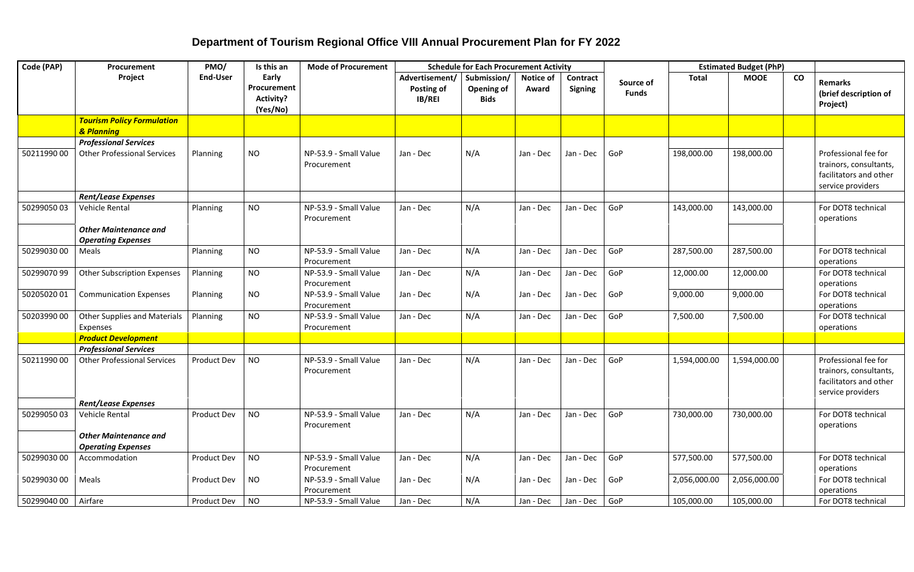## **Department of Tourism Regional Office VIII Annual Procurement Plan for FY 2022**

| Code (PAP) | Procurement                                               | PMO/             | Is this an<br><b>Mode of Procurement</b><br><b>Schedule for Each Procurement Activity</b> |                                      |                                               |                                                 | <b>Estimated Budget (PhP)</b> |                                   |                           |              |              |                 |                                                                                               |
|------------|-----------------------------------------------------------|------------------|-------------------------------------------------------------------------------------------|--------------------------------------|-----------------------------------------------|-------------------------------------------------|-------------------------------|-----------------------------------|---------------------------|--------------|--------------|-----------------|-----------------------------------------------------------------------------------------------|
|            | Project                                                   | <b>End-User</b>  | Early<br>Procurement<br>Activity?<br>(Yes/No)                                             |                                      | Advertisement/<br>Posting of<br><b>IB/REI</b> | Submission/<br><b>Opening of</b><br><b>Bids</b> | <b>Notice of</b><br>Award     | <b>Contract</b><br><b>Signing</b> | Source of<br><b>Funds</b> | <b>Total</b> | <b>MOOE</b>  | $\mathsf{co}\,$ | <b>Remarks</b><br>(brief description of<br>Project)                                           |
|            | <b>Tourism Policy Formulation</b><br>& Planning           |                  |                                                                                           |                                      |                                               |                                                 |                               |                                   |                           |              |              |                 |                                                                                               |
|            | <b>Professional Services</b>                              |                  |                                                                                           |                                      |                                               |                                                 |                               |                                   |                           |              |              |                 |                                                                                               |
| 5021199000 | <b>Other Professional Services</b>                        | Planning         | <b>NO</b>                                                                                 | NP-53.9 - Small Value<br>Procurement | Jan - Dec                                     | N/A                                             | Jan - Dec                     | Jan - Dec                         | GoP                       | 198,000.00   | 198,000.00   |                 | Professional fee for<br>trainors, consultants,<br>facilitators and other<br>service providers |
|            | <b>Rent/Lease Expenses</b>                                |                  |                                                                                           |                                      |                                               |                                                 |                               |                                   |                           |              |              |                 |                                                                                               |
| 5029905003 | Vehicle Rental                                            | Planning         | <b>NO</b>                                                                                 | NP-53.9 - Small Value<br>Procurement | Jan - Dec                                     | N/A                                             | Jan - Dec                     | Jan - Dec                         | GoP                       | 143,000.00   | 143,000.00   |                 | For DOT8 technical<br>operations                                                              |
|            | <b>Other Maintenance and</b><br><b>Operating Expenses</b> |                  |                                                                                           |                                      |                                               |                                                 |                               |                                   |                           |              |              |                 |                                                                                               |
| 5029903000 | Meals                                                     | Planning         | <b>NO</b>                                                                                 | NP-53.9 - Small Value<br>Procurement | Jan - Dec                                     | N/A                                             | Jan - Dec                     | Jan - Dec                         | GoP                       | 287,500.00   | 287,500.00   |                 | For DOT8 technical<br>operations                                                              |
| 5029907099 | <b>Other Subscription Expenses</b>                        | Planning         | <b>NO</b>                                                                                 | NP-53.9 - Small Value<br>Procurement | Jan - Dec                                     | N/A                                             | Jan - Dec                     | Jan - Dec                         | GoP                       | 12,000.00    | 12,000.00    |                 | For DOT8 technical<br>operations                                                              |
| 5020502001 | <b>Communication Expenses</b>                             | Planning         | <b>NO</b>                                                                                 | NP-53.9 - Small Value<br>Procurement | Jan - Dec                                     | N/A                                             | Jan - Dec                     | Jan - Dec                         | GoP                       | 9,000.00     | 9,000.00     |                 | For DOT8 technical<br>operations                                                              |
| 5020399000 | <b>Other Supplies and Materials</b><br>Expenses           | Planning         | <b>NO</b>                                                                                 | NP-53.9 - Small Value<br>Procurement | Jan - Dec                                     | N/A                                             | Jan - Dec                     | Jan - Dec                         | GoP                       | 7,500.00     | 7,500.00     |                 | For DOT8 technical<br>operations                                                              |
|            | <b>Product Development</b>                                |                  |                                                                                           |                                      |                                               |                                                 |                               |                                   |                           |              |              |                 |                                                                                               |
|            | <b>Professional Services</b>                              |                  |                                                                                           |                                      |                                               |                                                 |                               |                                   |                           |              |              |                 |                                                                                               |
| 5021199000 | <b>Other Professional Services</b>                        | Product Dev      | <b>NO</b>                                                                                 | NP-53.9 - Small Value<br>Procurement | Jan - Dec                                     | N/A                                             | Jan - Dec                     | Jan - Dec                         | GoP                       | 1,594,000.00 | 1,594,000.00 |                 | Professional fee for<br>trainors, consultants,<br>facilitators and other<br>service providers |
|            | <b>Rent/Lease Expenses</b>                                |                  |                                                                                           |                                      |                                               |                                                 |                               |                                   |                           |              |              |                 |                                                                                               |
| 5029905003 | Vehicle Rental                                            | Product Dev      | <b>NO</b>                                                                                 | NP-53.9 - Small Value<br>Procurement | Jan - Dec                                     | N/A                                             | Jan - Dec                     | Jan - Dec                         | GoP                       | 730,000.00   | 730,000.00   |                 | For DOT8 technical<br>operations                                                              |
|            | <b>Other Maintenance and</b><br><b>Operating Expenses</b> |                  |                                                                                           |                                      |                                               |                                                 |                               |                                   |                           |              |              |                 |                                                                                               |
| 5029903000 | Accommodation                                             | Product Dev      | <b>NO</b>                                                                                 | NP-53.9 - Small Value<br>Procurement | Jan - Dec                                     | N/A                                             | Jan - Dec                     | Jan - Dec                         | GoP                       | 577,500.00   | 577,500.00   |                 | For DOT8 technical<br>operations                                                              |
| 5029903000 | Meals                                                     | Product Dev      | <b>NO</b>                                                                                 | NP-53.9 - Small Value<br>Procurement | Jan - Dec                                     | N/A                                             | Jan - Dec                     | Jan - Dec                         | GoP                       | 2,056,000.00 | 2,056,000.00 |                 | For DOT8 technical<br>operations                                                              |
| 5029904000 | Airfare                                                   | Product Dev   NO |                                                                                           | NP-53.9 - Small Value                | Jan - Dec                                     | N/A                                             | Jan - Dec                     | Jan - Dec GoP                     |                           | 105,000.00   | 105,000.00   |                 | For DOT8 technical                                                                            |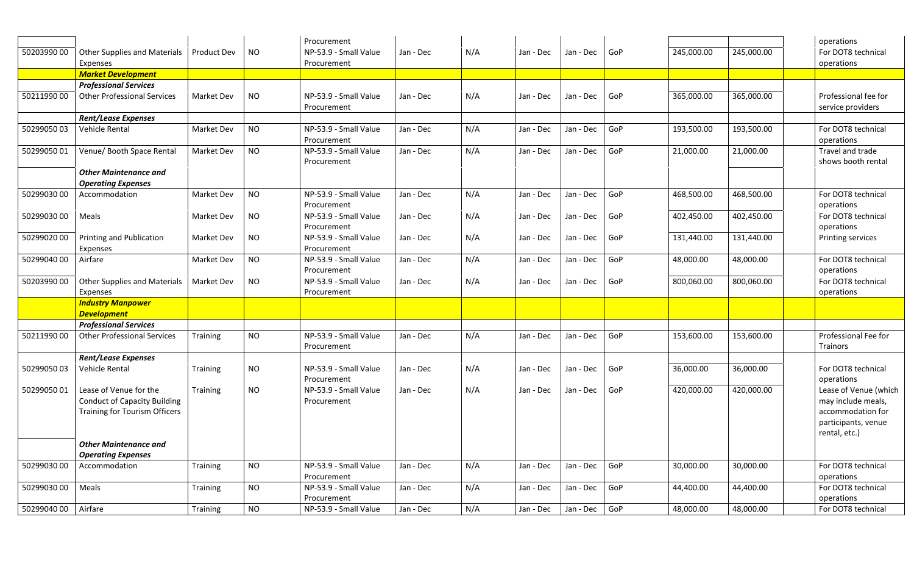|            |                                      |                    |           | Procurement           |           |     |           |                                         |     |            |            | operations            |
|------------|--------------------------------------|--------------------|-----------|-----------------------|-----------|-----|-----------|-----------------------------------------|-----|------------|------------|-----------------------|
| 5020399000 | <b>Other Supplies and Materials</b>  | <b>Product Dev</b> | <b>NO</b> | NP-53.9 - Small Value | Jan - Dec | N/A | Jan - Dec | Jan - Dec                               | GoP | 245,000.00 | 245,000.00 | For DOT8 technical    |
|            | Expenses                             |                    |           | Procurement           |           |     |           |                                         |     |            |            | operations            |
|            | <b>Market Development</b>            |                    |           |                       |           |     |           |                                         |     |            |            |                       |
|            | <b>Professional Services</b>         |                    |           |                       |           |     |           |                                         |     |            |            |                       |
| 5021199000 | <b>Other Professional Services</b>   | Market Dev         | <b>NO</b> | NP-53.9 - Small Value | Jan - Dec | N/A | Jan - Dec | Jan - Dec                               | GoP | 365,000.00 | 365,000.00 | Professional fee for  |
|            |                                      |                    |           | Procurement           |           |     |           |                                         |     |            |            | service providers     |
|            | <b>Rent/Lease Expenses</b>           |                    |           |                       |           |     |           |                                         |     |            |            |                       |
| 5029905003 | Vehicle Rental                       | Market Dev         | <b>NO</b> | NP-53.9 - Small Value | Jan - Dec | N/A | Jan - Dec | Jan - Dec                               | GoP | 193,500.00 | 193,500.00 | For DOT8 technical    |
|            |                                      |                    |           | Procurement           |           |     |           |                                         |     |            |            | operations            |
| 5029905001 | Venue/ Booth Space Rental            | Market Dev         | <b>NO</b> | NP-53.9 - Small Value | Jan - Dec | N/A | Jan - Dec | Jan - Dec                               | GoP | 21,000.00  | 21,000.00  | Travel and trade      |
|            |                                      |                    |           | Procurement           |           |     |           |                                         |     |            |            | shows booth rental    |
|            | <b>Other Maintenance and</b>         |                    |           |                       |           |     |           |                                         |     |            |            |                       |
|            | <b>Operating Expenses</b>            |                    |           |                       |           |     |           |                                         |     |            |            |                       |
| 5029903000 | Accommodation                        | Market Dev         | <b>NO</b> | NP-53.9 - Small Value | Jan - Dec | N/A | Jan - Dec | Jan - Dec                               | GoP | 468,500.00 | 468,500.00 | For DOT8 technical    |
|            |                                      |                    |           | Procurement           |           |     |           |                                         |     |            |            | operations            |
| 5029903000 | Meals                                | Market Dev         | NO        | NP-53.9 - Small Value | Jan - Dec | N/A | Jan - Dec | Jan - Dec                               | GoP | 402,450.00 | 402,450.00 | For DOT8 technical    |
|            |                                      |                    |           | Procurement           |           |     |           |                                         |     |            |            | operations            |
| 5029902000 | Printing and Publication             | Market Dev         | <b>NO</b> | NP-53.9 - Small Value | Jan - Dec | N/A | Jan - Dec | Jan - Dec                               | GoP | 131,440.00 | 131,440.00 | Printing services     |
|            | Expenses                             |                    |           | Procurement           |           |     |           |                                         |     |            |            |                       |
| 5029904000 | Airfare                              | Market Dev         | <b>NO</b> | NP-53.9 - Small Value | Jan - Dec | N/A | Jan - Dec | Jan - Dec                               | GoP | 48,000.00  | 48,000.00  | For DOT8 technical    |
|            |                                      |                    |           | Procurement           |           |     |           |                                         |     |            |            | operations            |
| 5020399000 | <b>Other Supplies and Materials</b>  | Market Dev         | <b>NO</b> | NP-53.9 - Small Value | Jan - Dec | N/A | Jan - Dec | Jan - Dec                               | GoP | 800,060.00 | 800,060.00 | For DOT8 technical    |
|            | Expenses<br><b>Industry Manpower</b> |                    |           | Procurement           |           |     |           |                                         |     |            |            | operations            |
|            | <b>Development</b>                   |                    |           |                       |           |     |           |                                         |     |            |            |                       |
|            | <b>Professional Services</b>         |                    |           |                       |           |     |           |                                         |     |            |            |                       |
| 5021199000 | <b>Other Professional Services</b>   | Training           | <b>NO</b> | NP-53.9 - Small Value | Jan - Dec | N/A | Jan - Dec | Jan - Dec                               | GoP | 153,600.00 | 153,600.00 | Professional Fee for  |
|            |                                      |                    |           | Procurement           |           |     |           |                                         |     |            |            | Trainors              |
|            | <b>Rent/Lease Expenses</b>           |                    |           |                       |           |     |           |                                         |     |            |            |                       |
| 5029905003 | Vehicle Rental                       | Training           | <b>NO</b> | NP-53.9 - Small Value | Jan - Dec | N/A | Jan - Dec | Jan - Dec                               | GoP | 36,000.00  | 36,000.00  | For DOT8 technical    |
|            |                                      |                    |           | Procurement           |           |     |           |                                         |     |            |            | operations            |
|            | 50299050 01   Lease of Venue for the | Training           | <b>NO</b> | NP-53.9 - Small Value | Jan - Dec | N/A |           | Jan - Dec $\vert$ Jan - Dec $\vert$ GoP |     | 420,000.00 | 420,000.00 | Lease of Venue (which |
|            | <b>Conduct of Capacity Building</b>  |                    |           | Procurement           |           |     |           |                                         |     |            |            | may include meals,    |
|            | <b>Training for Tourism Officers</b> |                    |           |                       |           |     |           |                                         |     |            |            | accommodation for     |
|            |                                      |                    |           |                       |           |     |           |                                         |     |            |            | participants, venue   |
|            |                                      |                    |           |                       |           |     |           |                                         |     |            |            | rental, etc.)         |
|            | <b>Other Maintenance and</b>         |                    |           |                       |           |     |           |                                         |     |            |            |                       |
|            | <b>Operating Expenses</b>            |                    |           |                       |           |     |           |                                         |     |            |            |                       |
| 5029903000 | Accommodation                        | Training           | <b>NO</b> | NP-53.9 - Small Value | Jan - Dec | N/A | Jan - Dec | Jan - Dec                               | GoP | 30,000.00  | 30,000.00  | For DOT8 technical    |
|            |                                      |                    |           | Procurement           |           |     |           |                                         |     |            |            | operations            |
| 5029903000 | Meals                                | Training           | <b>NO</b> | NP-53.9 - Small Value | Jan - Dec | N/A | Jan - Dec | Jan - Dec                               | GoP | 44,400.00  | 44,400.00  | For DOT8 technical    |
|            |                                      |                    |           | Procurement           |           |     |           |                                         |     |            |            | operations            |
| 5029904000 | Airfare                              | Training           | <b>NO</b> | NP-53.9 - Small Value | Jan - Dec | N/A | Jan - Dec | Jan - Dec $\Big $ GoP                   |     | 48,000.00  | 48,000.00  | For DOT8 technical    |